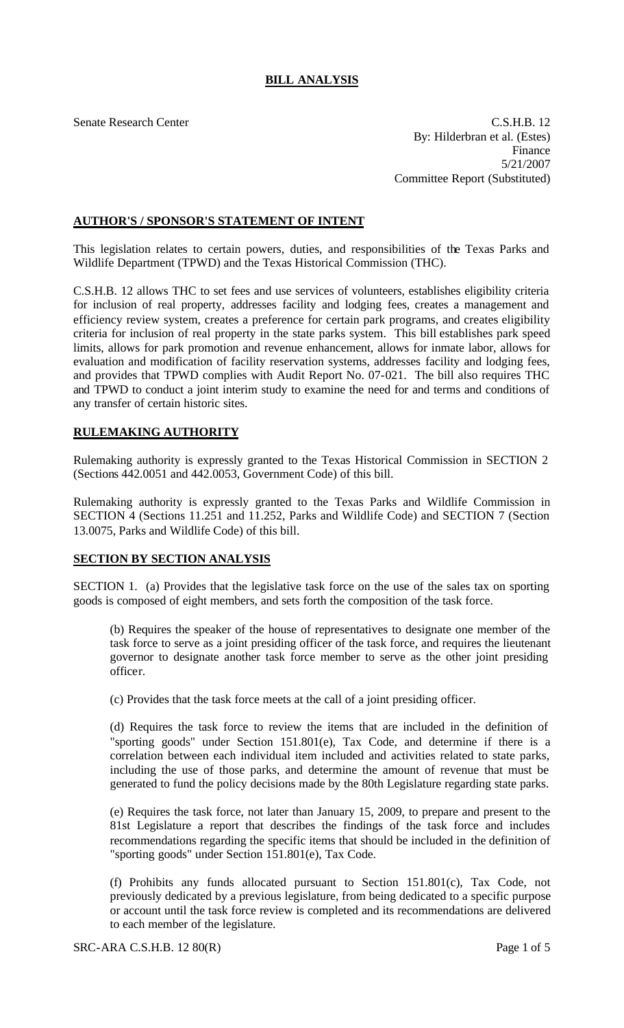# **BILL ANALYSIS**

Senate Research Center C.S.H.B. 12 By: Hilderbran et al. (Estes) Finance 5/21/2007 Committee Report (Substituted)

### **AUTHOR'S / SPONSOR'S STATEMENT OF INTENT**

This legislation relates to certain powers, duties, and responsibilities of the Texas Parks and Wildlife Department (TPWD) and the Texas Historical Commission (THC).

C.S.H.B. 12 allows THC to set fees and use services of volunteers, establishes eligibility criteria for inclusion of real property, addresses facility and lodging fees, creates a management and efficiency review system, creates a preference for certain park programs, and creates eligibility criteria for inclusion of real property in the state parks system. This bill establishes park speed limits, allows for park promotion and revenue enhancement, allows for inmate labor, allows for evaluation and modification of facility reservation systems, addresses facility and lodging fees, and provides that TPWD complies with Audit Report No. 07-021. The bill also requires THC and TPWD to conduct a joint interim study to examine the need for and terms and conditions of any transfer of certain historic sites.

# **RULEMAKING AUTHORITY**

Rulemaking authority is expressly granted to the Texas Historical Commission in SECTION 2 (Sections 442.0051 and 442.0053, Government Code) of this bill.

Rulemaking authority is expressly granted to the Texas Parks and Wildlife Commission in SECTION 4 (Sections 11.251 and 11.252, Parks and Wildlife Code) and SECTION 7 (Section 13.0075, Parks and Wildlife Code) of this bill.

### **SECTION BY SECTION ANALYSIS**

SECTION 1. (a) Provides that the legislative task force on the use of the sales tax on sporting goods is composed of eight members, and sets forth the composition of the task force.

(b) Requires the speaker of the house of representatives to designate one member of the task force to serve as a joint presiding officer of the task force, and requires the lieutenant governor to designate another task force member to serve as the other joint presiding officer.

(c) Provides that the task force meets at the call of a joint presiding officer.

(d) Requires the task force to review the items that are included in the definition of "sporting goods" under Section 151.801(e), Tax Code, and determine if there is a correlation between each individual item included and activities related to state parks, including the use of those parks, and determine the amount of revenue that must be generated to fund the policy decisions made by the 80th Legislature regarding state parks.

(e) Requires the task force, not later than January 15, 2009, to prepare and present to the 81st Legislature a report that describes the findings of the task force and includes recommendations regarding the specific items that should be included in the definition of "sporting goods" under Section 151.801(e), Tax Code.

(f) Prohibits any funds allocated pursuant to Section 151.801(c), Tax Code, not previously dedicated by a previous legislature, from being dedicated to a specific purpose or account until the task force review is completed and its recommendations are delivered to each member of the legislature.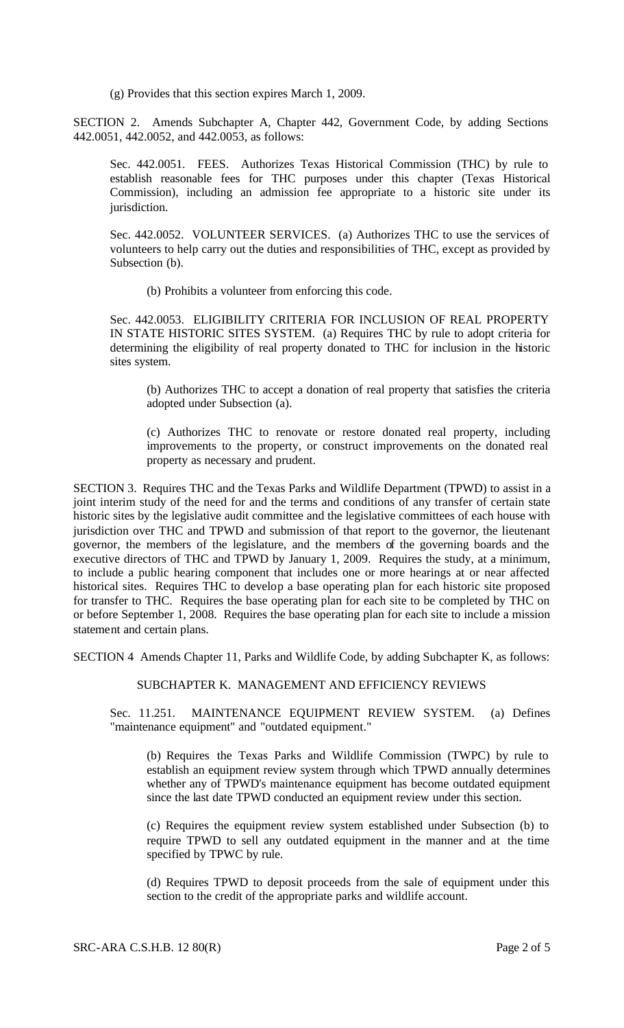(g) Provides that this section expires March 1, 2009.

SECTION 2. Amends Subchapter A, Chapter 442, Government Code, by adding Sections 442.0051, 442.0052, and 442.0053, as follows:

Sec. 442.0051. FEES. Authorizes Texas Historical Commission (THC) by rule to establish reasonable fees for THC purposes under this chapter (Texas Historical Commission), including an admission fee appropriate to a historic site under its jurisdiction.

Sec. 442.0052. VOLUNTEER SERVICES. (a) Authorizes THC to use the services of volunteers to help carry out the duties and responsibilities of THC, except as provided by Subsection (b).

(b) Prohibits a volunteer from enforcing this code.

Sec. 442.0053. ELIGIBILITY CRITERIA FOR INCLUSION OF REAL PROPERTY IN STATE HISTORIC SITES SYSTEM. (a) Requires THC by rule to adopt criteria for determining the eligibility of real property donated to THC for inclusion in the historic sites system.

(b) Authorizes THC to accept a donation of real property that satisfies the criteria adopted under Subsection (a).

(c) Authorizes THC to renovate or restore donated real property, including improvements to the property, or construct improvements on the donated real property as necessary and prudent.

SECTION 3. Requires THC and the Texas Parks and Wildlife Department (TPWD) to assist in a joint interim study of the need for and the terms and conditions of any transfer of certain state historic sites by the legislative audit committee and the legislative committees of each house with jurisdiction over THC and TPWD and submission of that report to the governor, the lieutenant governor, the members of the legislature, and the members of the governing boards and the executive directors of THC and TPWD by January 1, 2009. Requires the study, at a minimum, to include a public hearing component that includes one or more hearings at or near affected historical sites. Requires THC to develop a base operating plan for each historic site proposed for transfer to THC. Requires the base operating plan for each site to be completed by THC on or before September 1, 2008. Requires the base operating plan for each site to include a mission statement and certain plans.

SECTION 4 Amends Chapter 11, Parks and Wildlife Code, by adding Subchapter K, as follows:

### SUBCHAPTER K. MANAGEMENT AND EFFICIENCY REVIEWS

Sec. 11.251. MAINTENANCE EQUIPMENT REVIEW SYSTEM. (a) Defines "maintenance equipment" and "outdated equipment."

(b) Requires the Texas Parks and Wildlife Commission (TWPC) by rule to establish an equipment review system through which TPWD annually determines whether any of TPWD's maintenance equipment has become outdated equipment since the last date TPWD conducted an equipment review under this section.

(c) Requires the equipment review system established under Subsection (b) to require TPWD to sell any outdated equipment in the manner and at the time specified by TPWC by rule.

(d) Requires TPWD to deposit proceeds from the sale of equipment under this section to the credit of the appropriate parks and wildlife account.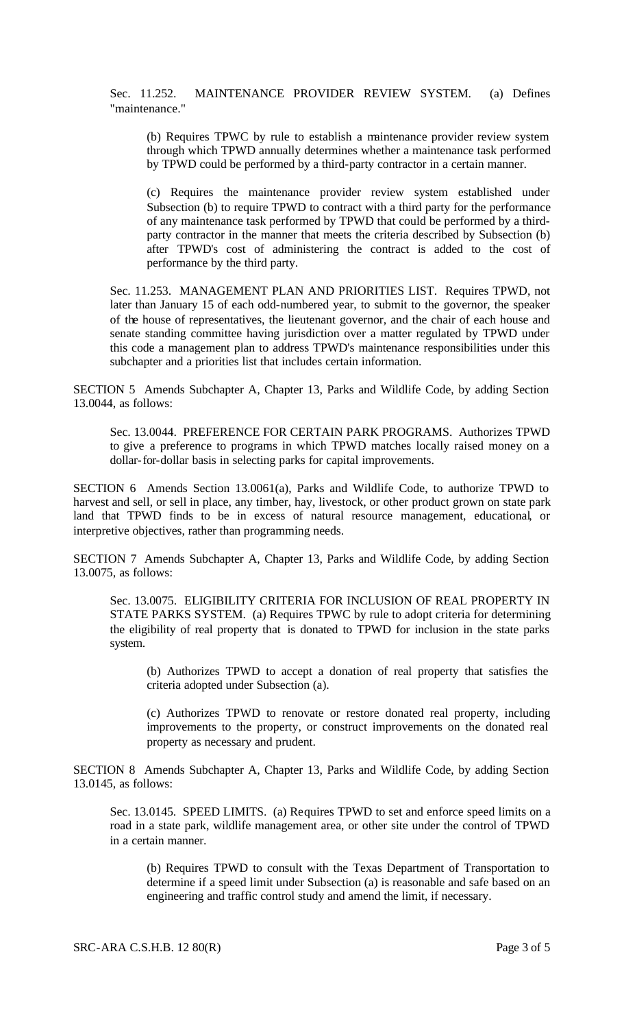Sec. 11.252. MAINTENANCE PROVIDER REVIEW SYSTEM. (a) Defines "maintenance."

(b) Requires TPWC by rule to establish a maintenance provider review system through which TPWD annually determines whether a maintenance task performed by TPWD could be performed by a third-party contractor in a certain manner.

(c) Requires the maintenance provider review system established under Subsection (b) to require TPWD to contract with a third party for the performance of any maintenance task performed by TPWD that could be performed by a thirdparty contractor in the manner that meets the criteria described by Subsection (b) after TPWD's cost of administering the contract is added to the cost of performance by the third party.

Sec. 11.253. MANAGEMENT PLAN AND PRIORITIES LIST. Requires TPWD, not later than January 15 of each odd-numbered year, to submit to the governor, the speaker of the house of representatives, the lieutenant governor, and the chair of each house and senate standing committee having jurisdiction over a matter regulated by TPWD under this code a management plan to address TPWD's maintenance responsibilities under this subchapter and a priorities list that includes certain information.

SECTION 5 Amends Subchapter A, Chapter 13, Parks and Wildlife Code, by adding Section 13.0044, as follows:

Sec. 13.0044. PREFERENCE FOR CERTAIN PARK PROGRAMS. Authorizes TPWD to give a preference to programs in which TPWD matches locally raised money on a dollar-for-dollar basis in selecting parks for capital improvements.

SECTION 6 Amends Section 13.0061(a), Parks and Wildlife Code, to authorize TPWD to harvest and sell, or sell in place, any timber, hay, livestock, or other product grown on state park land that TPWD finds to be in excess of natural resource management, educational, or interpretive objectives, rather than programming needs.

SECTION 7 Amends Subchapter A, Chapter 13, Parks and Wildlife Code, by adding Section 13.0075, as follows:

Sec. 13.0075. ELIGIBILITY CRITERIA FOR INCLUSION OF REAL PROPERTY IN STATE PARKS SYSTEM. (a) Requires TPWC by rule to adopt criteria for determining the eligibility of real property that is donated to TPWD for inclusion in the state parks system.

(b) Authorizes TPWD to accept a donation of real property that satisfies the criteria adopted under Subsection (a).

(c) Authorizes TPWD to renovate or restore donated real property, including improvements to the property, or construct improvements on the donated real property as necessary and prudent.

SECTION 8 Amends Subchapter A, Chapter 13, Parks and Wildlife Code, by adding Section 13.0145, as follows:

Sec. 13.0145. SPEED LIMITS. (a) Requires TPWD to set and enforce speed limits on a road in a state park, wildlife management area, or other site under the control of TPWD in a certain manner.

(b) Requires TPWD to consult with the Texas Department of Transportation to determine if a speed limit under Subsection (a) is reasonable and safe based on an engineering and traffic control study and amend the limit, if necessary.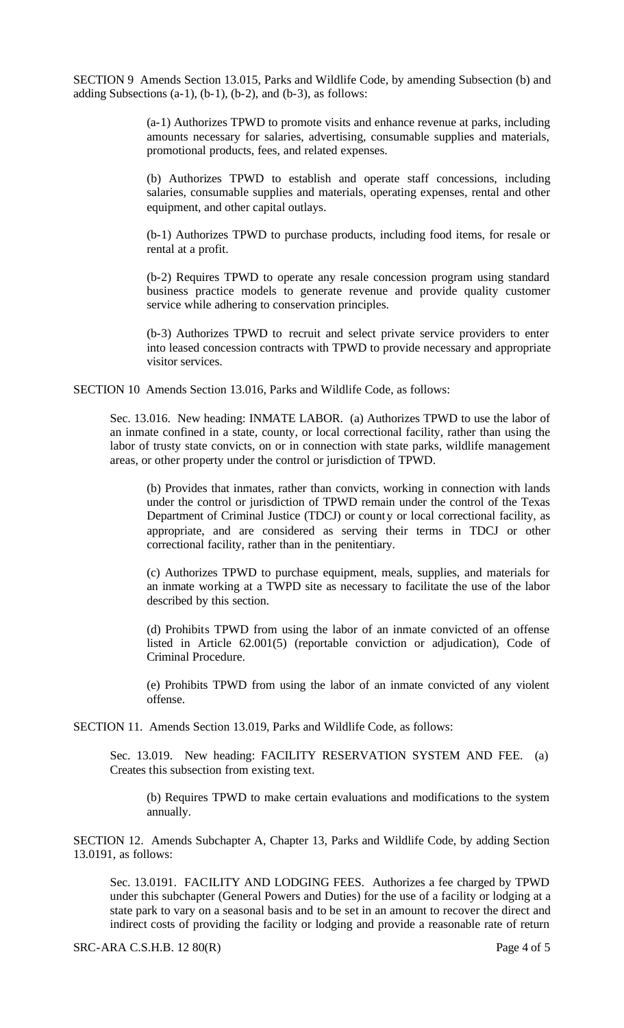SECTION 9 Amends Section 13.015, Parks and Wildlife Code, by amending Subsection (b) and adding Subsections  $(a-1)$ ,  $(b-1)$ ,  $(b-2)$ , and  $(b-3)$ , as follows:

> (a-1) Authorizes TPWD to promote visits and enhance revenue at parks, including amounts necessary for salaries, advertising, consumable supplies and materials, promotional products, fees, and related expenses.

> (b) Authorizes TPWD to establish and operate staff concessions, including salaries, consumable supplies and materials, operating expenses, rental and other equipment, and other capital outlays.

> (b-1) Authorizes TPWD to purchase products, including food items, for resale or rental at a profit.

> (b-2) Requires TPWD to operate any resale concession program using standard business practice models to generate revenue and provide quality customer service while adhering to conservation principles.

> (b-3) Authorizes TPWD to recruit and select private service providers to enter into leased concession contracts with TPWD to provide necessary and appropriate visitor services.

SECTION 10 Amends Section 13.016, Parks and Wildlife Code, as follows:

Sec. 13.016. New heading: INMATE LABOR. (a) Authorizes TPWD to use the labor of an inmate confined in a state, county, or local correctional facility, rather than using the labor of trusty state convicts, on or in connection with state parks, wildlife management areas, or other property under the control or jurisdiction of TPWD.

(b) Provides that inmates, rather than convicts, working in connection with lands under the control or jurisdiction of TPWD remain under the control of the Texas Department of Criminal Justice (TDCJ) or county or local correctional facility, as appropriate, and are considered as serving their terms in TDCJ or other correctional facility, rather than in the penitentiary.

(c) Authorizes TPWD to purchase equipment, meals, supplies, and materials for an inmate working at a TWPD site as necessary to facilitate the use of the labor described by this section.

(d) Prohibits TPWD from using the labor of an inmate convicted of an offense listed in Article 62.001(5) (reportable conviction or adjudication), Code of Criminal Procedure.

(e) Prohibits TPWD from using the labor of an inmate convicted of any violent offense.

SECTION 11. Amends Section 13.019, Parks and Wildlife Code, as follows:

Sec. 13.019. New heading: FACILITY RESERVATION SYSTEM AND FEE. (a) Creates this subsection from existing text.

(b) Requires TPWD to make certain evaluations and modifications to the system annually.

SECTION 12. Amends Subchapter A, Chapter 13, Parks and Wildlife Code, by adding Section 13.0191, as follows:

Sec. 13.0191. FACILITY AND LODGING FEES. Authorizes a fee charged by TPWD under this subchapter (General Powers and Duties) for the use of a facility or lodging at a state park to vary on a seasonal basis and to be set in an amount to recover the direct and indirect costs of providing the facility or lodging and provide a reasonable rate of return

SRC-ARA C.S.H.B. 12 80(R) Page 4 of 5